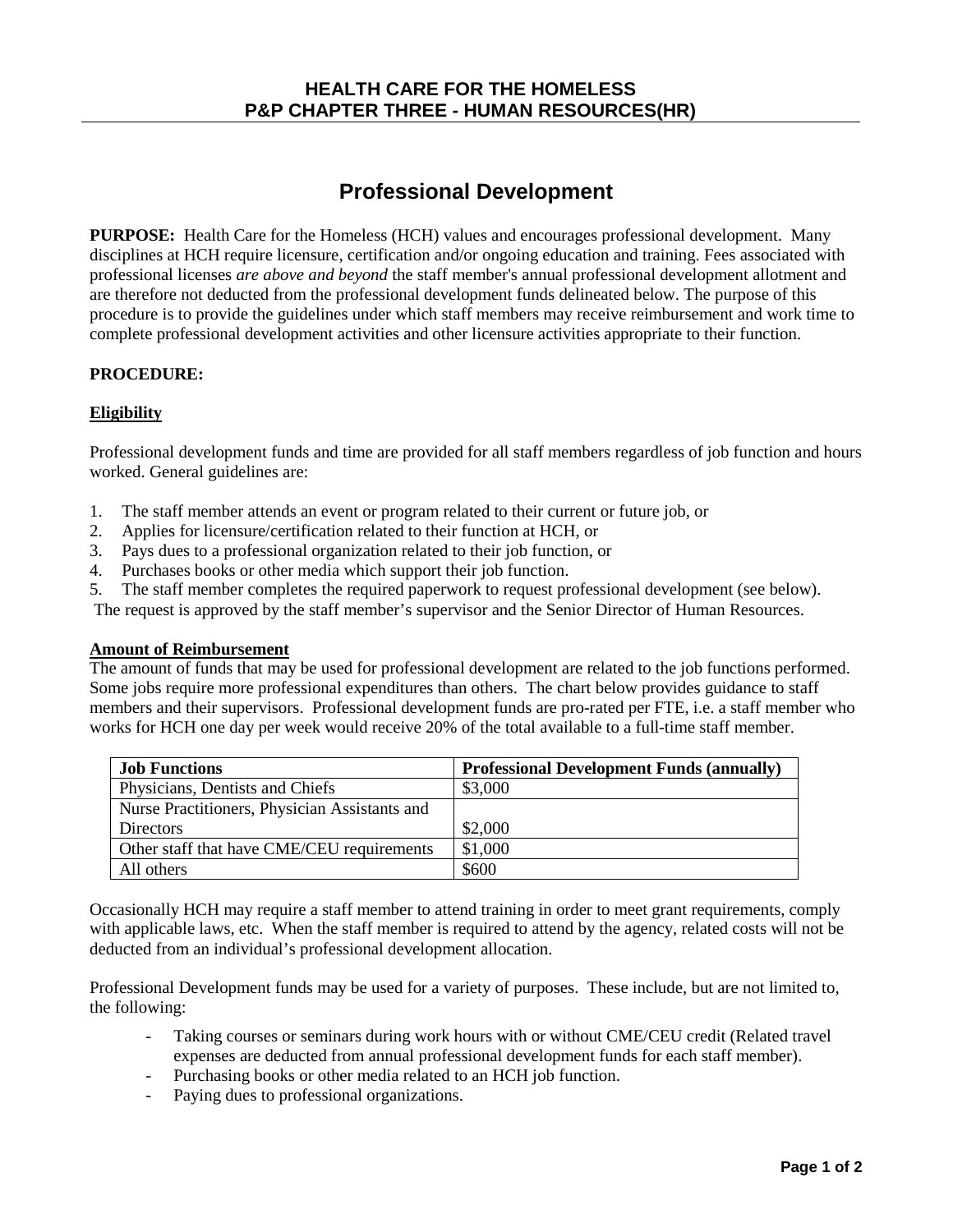# **Professional Development**

**PURPOSE:** Health Care for the Homeless (HCH) values and encourages professional development. Many disciplines at HCH require licensure, certification and/or ongoing education and training. Fees associated with professional licenses *are above and beyond* the staff member's annual professional development allotment and are therefore not deducted from the professional development funds delineated below. The purpose of this procedure is to provide the guidelines under which staff members may receive reimbursement and work time to complete professional development activities and other licensure activities appropriate to their function.

# **PROCEDURE:**

# **Eligibility**

Professional development funds and time are provided for all staff members regardless of job function and hours worked. General guidelines are:

- 1. The staff member attends an event or program related to their current or future job, or
- 2. Applies for licensure/certification related to their function at HCH, or
- 3. Pays dues to a professional organization related to their job function, or
- 4. Purchases books or other media which support their job function.
- 5. The staff member completes the required paperwork to request professional development (see below).

The request is approved by the staff member's supervisor and the Senior Director of Human Resources.

### **Amount of Reimbursement**

The amount of funds that may be used for professional development are related to the job functions performed. Some jobs require more professional expenditures than others. The chart below provides guidance to staff members and their supervisors. Professional development funds are pro-rated per FTE, i.e. a staff member who works for HCH one day per week would receive 20% of the total available to a full-time staff member.

| <b>Job Functions</b>                          | <b>Professional Development Funds (annually)</b> |
|-----------------------------------------------|--------------------------------------------------|
| Physicians, Dentists and Chiefs               | \$3,000                                          |
| Nurse Practitioners, Physician Assistants and |                                                  |
| <b>Directors</b>                              | \$2,000                                          |
| Other staff that have CME/CEU requirements    | \$1,000                                          |
| All others                                    | \$600                                            |

Occasionally HCH may require a staff member to attend training in order to meet grant requirements, comply with applicable laws, etc. When the staff member is required to attend by the agency, related costs will not be deducted from an individual's professional development allocation.

Professional Development funds may be used for a variety of purposes. These include, but are not limited to, the following:

- Taking courses or seminars during work hours with or without CME/CEU credit (Related travel expenses are deducted from annual professional development funds for each staff member).
- Purchasing books or other media related to an HCH job function.
- Paying dues to professional organizations.